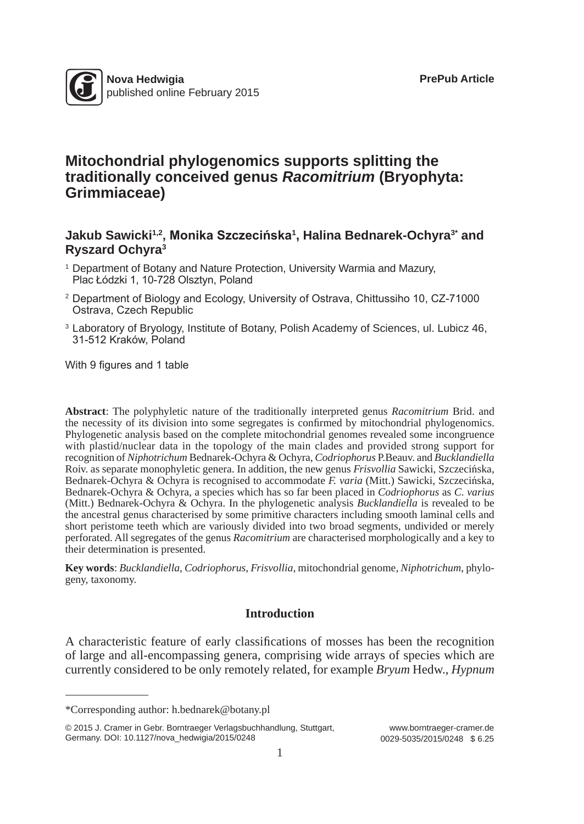

# **Mitochondrial phylogenomics supports splitting the traditionally conceived genus** *Racomitrium* **(Bryophyta: Grimmiaceae)**

## **Jakub Sawicki1,2, Monika Szczecińska<sup>1</sup> , Halina Bednarek-Ochyra3\* and Ryszard Ochyra3**

- <sup>1</sup> Department of Botany and Nature Protection, University Warmia and Mazury, Plac Łódzki 1, 10-728 Olsztyn, Poland
- <sup>2</sup> Department of Biology and Ecology, University of Ostrava, Chittussiho 10, CZ-71000 Ostrava, Czech Republic
- 3 Laboratory of Bryology, Institute of Botany, Polish Academy of Sciences, ul. Lubicz 46, 31-512 Kraków, Poland

With 9 figures and 1 table

**Abstract**: The polyphyletic nature of the traditionally interpreted genus *Racomitrium* Brid. and the necessity of its division into some segregates is confirmed by mitochondrial phylogenomics. Phylogenetic analysis based on the complete mitochondrial genomes revealed some incongruence with plastid/nuclear data in the topology of the main clades and provided strong support for recognition of *Niphotrichum* Bednarek-Ochyra & Ochyra, *Codriophorus* P.Beauv. and *Bucklandiella* Roiv. as separate monophyletic genera. In addition, the new genus *Frisvollia* Sawicki, Szczecińska, Bednarek-Ochyra & Ochyra is recognised to accommodate *F. varia* (Mitt.) Sawicki, Szczecińska, Bednarek-Ochyra & Ochyra, a species which has so far been placed in *Codriophorus* as *C. varius*  (Mitt.) Bednarek-Ochyra & Ochyra. In the phylogenetic analysis *Bucklandiella* is revealed to be the ancestral genus characterised by some primitive characters including smooth laminal cells and short peristome teeth which are variously divided into two broad segments, undivided or merely perforated. All segregates of the genus *Racomitrium* are characterised morphologically and a key to their determination is presented.

**Key words**: *Bucklandiella*, *Codriophorus*, *Frisvollia*, mitochondrial genome, *Niphotrichum*, phylogeny, taxonomy.

## **Introduction**

A characteristic feature of early classifications of mosses has been the recognition of large and all-encompassing genera, comprising wide arrays of species which are currently considered to be only remotely related, for example *Bryum* Hedw., *Hypnum*

<sup>\*</sup>Corresponding author: h.bednarek@botany.pl

<sup>© 2015</sup> J. Cramer in Gebr. Borntraeger Verlagsbuchhandlung, Stuttgart, www.borntraeger-cramer.de Germany. DOI: 10.1127/nova\_hedwigia/2015/0248 0029-5035/2015/0248 \$ 6.25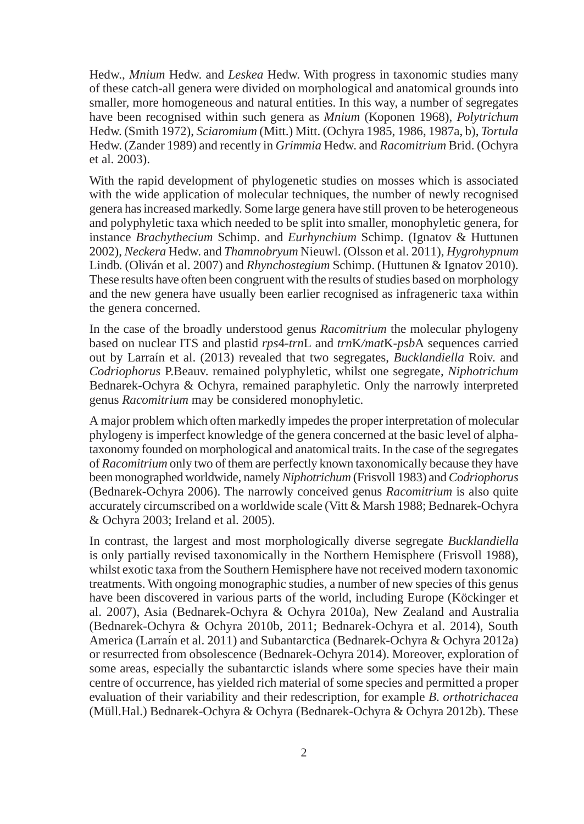Hedw., *Mnium* Hedw. and *Leskea* Hedw. With progress in taxonomic studies many of these catch-all genera were divided on morphological and anatomical grounds into smaller, more homogeneous and natural entities. In this way, a number of segregates have been recognised within such genera as *Mnium* (Koponen 1968), *Polytrichum* Hedw. (Smith 1972), *Sciaromium* (Mitt.) Mitt. (Ochyra 1985, 1986, 1987a, b), *Tortula* Hedw. (Zander 1989) and recently in *Grimmia* Hedw. and *Racomitrium* Brid. (Ochyra et al. 2003).

With the rapid development of phylogenetic studies on mosses which is associated with the wide application of molecular techniques, the number of newly recognised genera has increased markedly. Some large genera have still proven to be heterogeneous and polyphyletic taxa which needed to be split into smaller, monophyletic genera, for instance *Brachythecium* Schimp. and *Eurhynchium* Schimp. (Ignatov & Huttunen 2002), *Neckera* Hedw. and *Thamnobryum* Nieuwl. (Olsson et al. 2011), *Hygrohypnum*  Lindb. (Oliván et al. 2007) and *Rhynchostegium* Schimp. (Huttunen & Ignatov 2010). These results have often been congruent with the results of studies based on morphology and the new genera have usually been earlier recognised as infrageneric taxa within the genera concerned.

In the case of the broadly understood genus *Racomitrium* the molecular phylogeny based on nuclear ITS and plastid *rps*4-*trn*L and *trn*K*/mat*K*-psb*A sequences carried out by Larraín et al. (2013) revealed that two segregates, *Bucklandiella* Roiv. and *Codriophorus* P.Beauv. remained polyphyletic, whilst one segregate, *Niphotrichum* Bednarek-Ochyra & Ochyra, remained paraphyletic. Only the narrowly interpreted genus *Racomitrium* may be considered monophyletic.

A major problem which often markedly impedes the proper interpretation of molecular phylogeny is imperfect knowledge of the genera concerned at the basic level of alphataxonomy founded on morphological and anatomical traits. In the case of the segregates of *Racomitrium* only two of them are perfectly known taxonomically because they have been monographed worldwide, namely *Niphotrichum* (Frisvoll 1983) and *Codriophorus* (Bednarek-Ochyra 2006). The narrowly conceived genus *Racomitrium* is also quite accurately circumscribed on a worldwide scale (Vitt & Marsh 1988; Bednarek-Ochyra & Ochyra 2003; Ireland et al. 2005).

In contrast, the largest and most morphologically diverse segregate *Bucklandiella* is only partially revised taxonomically in the Northern Hemisphere (Frisvoll 1988), whilst exotic taxa from the Southern Hemisphere have not received modern taxonomic treatments. With ongoing monographic studies, a number of new species of this genus have been discovered in various parts of the world, including Europe (Köckinger et al. 2007), Asia (Bednarek-Ochyra & Ochyra 2010a), New Zealand and Australia (Bednarek-Ochyra & Ochyra 2010b, 2011; Bednarek-Ochyra et al. 2014), South America (Larraín et al. 2011) and Subantarctica (Bednarek-Ochyra & Ochyra 2012a) or resurrected from obsolescence (Bednarek-Ochyra 2014). Moreover, exploration of some areas, especially the subantarctic islands where some species have their main centre of occurrence, has yielded rich material of some species and permitted a proper evaluation of their variability and their redescription, for example *B*. *orthotrichacea*  (Müll.Hal.) Bednarek-Ochyra & Ochyra (Bednarek-Ochyra & Ochyra 2012b). These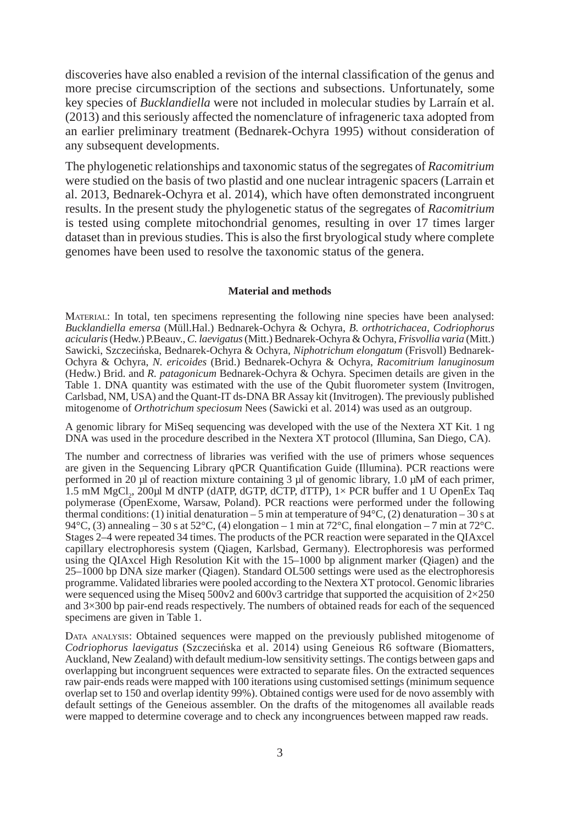discoveries have also enabled a revision of the internal classification of the genus and more precise circumscription of the sections and subsections. Unfortunately, some key species of *Bucklandiella* were not included in molecular studies by Larraín et al. (2013) and this seriously affected the nomenclature of infrageneric taxa adopted from an earlier preliminary treatment (Bednarek-Ochyra 1995) without consideration of any subsequent developments.

The phylogenetic relationships and taxonomic status of the segregates of *Racomitrium* were studied on the basis of two plastid and one nuclear intragenic spacers (Larrain et al. 2013, Bednarek-Ochyra et al. 2014), which have often demonstrated incongruent results. In the present study the phylogenetic status of the segregates of *Racomitrium* is tested using complete mitochondrial genomes, resulting in over 17 times larger dataset than in previous studies. This is also the first bryological study where complete genomes have been used to resolve the taxonomic status of the genera.

#### **Material and methods**

Material: In total, ten specimens representing the following nine species have been analysed: *Bucklandiella emersa* (Müll.Hal.) Bednarek-Ochyra & Ochyra, *B. orthotrichacea*, *Codriophorus acicularis* (Hedw.) P.Beauv., *C. laevigatus* (Mitt.) Bednarek-Ochyra & Ochyra, *Frisvollia varia* (Mitt.) Sawicki, Szczecińska, Bednarek-Ochyra & Ochyra, *Niphotrichum elongatum* (Frisvoll) Bednarek-Ochyra & Ochyra, *N. ericoides* (Brid.) Bednarek-Ochyra & Ochyra, *Racomitrium lanuginosum* (Hedw.) Brid. and *R. patagonicum* Bednarek-Ochyra & Ochyra. Specimen details are given in the Table 1. DNA quantity was estimated with the use of the Qubit fluorometer system (Invitrogen, Carlsbad, NM, USA) and the Quant-IT ds-DNA BR Assay kit (Invitrogen). The previously published mitogenome of *Orthotrichum speciosum* Nees (Sawicki et al. 2014) was used as an outgroup.

A genomic library for MiSeq sequencing was developed with the use of the Nextera XT Kit. 1 ng DNA was used in the procedure described in the Nextera XT protocol (Illumina, San Diego, CA).

The number and correctness of libraries was verified with the use of primers whose sequences are given in the Sequencing Library qPCR Quantification Guide (Illumina). PCR reactions were performed in 20 µl of reaction mixture containing 3 µl of genomic library, 1.0 µM of each primer, 1.5 mM MgCl<sub>2</sub>, 200µl M dNTP (dATP, dGTP, dCTP, dTTP), 1× PCR buffer and 1 U OpenEx Taq polymerase (OpenExome, Warsaw, Poland). PCR reactions were performed under the following thermal conditions: (1) initial denaturation – 5 min at temperature of  $94^{\circ}$ C, (2) denaturation – 30 s at 94°C, (3) annealing – 30 s at 52°C, (4) elongation – 1 min at 72°C, final elongation – 7 min at 72°C. Stages 2–4 were repeated 34 times. The products of the PCR reaction were separated in the QIAxcel capillary electrophoresis system (Qiagen, Karlsbad, Germany). Electrophoresis was performed using the QIAxcel High Resolution Kit with the 15–1000 bp alignment marker (Qiagen) and the 25–1000 bp DNA size marker (Qiagen). Standard OL500 settings were used as the electrophoresis programme. Validated libraries were pooled according to the Nextera XT protocol. Genomic libraries were sequenced using the Miseq  $500v2$  and  $600v3$  cartridge that supported the acquisition of  $2 \times 250$ and 3×300 bp pair-end reads respectively. The numbers of obtained reads for each of the sequenced specimens are given in Table 1.

Data analysis: Obtained sequences were mapped on the previously published mitogenome of *Codriophorus laevigatus* (Szczecińska et al. 2014) using Geneious R6 software (Biomatters, Auckland, New Zealand) with default medium-low sensitivity settings. The contigs between gaps and overlapping but incongruent sequences were extracted to separate files. On the extracted sequences raw pair-ends reads were mapped with 100 iterations using customised settings (minimum sequence overlap set to 150 and overlap identity 99%). Obtained contigs were used for de novo assembly with default settings of the Geneious assembler. On the drafts of the mitogenomes all available reads were mapped to determine coverage and to check any incongruences between mapped raw reads.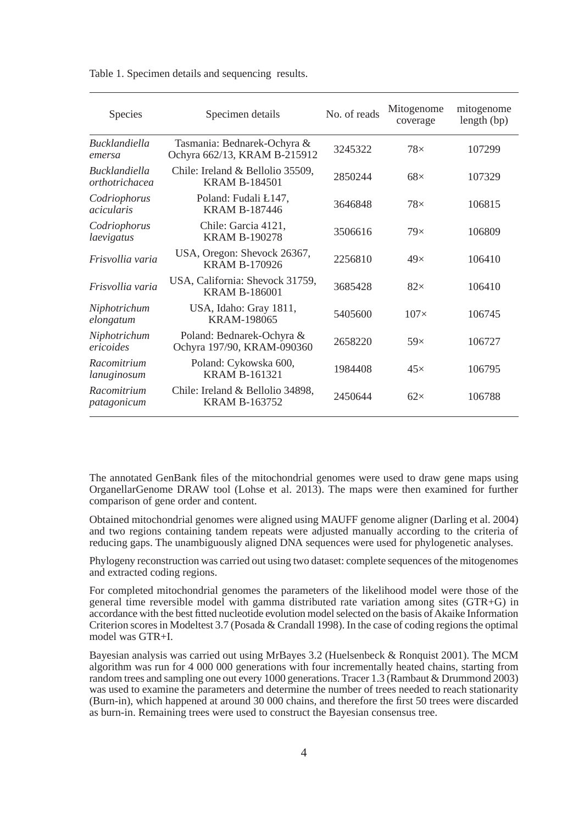| <b>Species</b>                         | Specimen details                                            | No. of reads | Mitogenome<br>coverage | mitogenome<br>length (bp) |
|----------------------------------------|-------------------------------------------------------------|--------------|------------------------|---------------------------|
| <b>Bucklandiella</b><br>emersa         | Tasmania: Bednarek-Ochyra &<br>Ochyra 662/13, KRAM B-215912 | 3245322      | $78\times$             | 107299                    |
| <i>Bucklandiella</i><br>orthotrichacea | Chile: Ireland & Bellolio 35509,<br><b>KRAM B-184501</b>    | 2850244      | $68\times$             | 107329                    |
| Codriophorus<br>acicularis             | Poland: Fudali Ł147,<br><b>KRAM B-187446</b>                | 3646848      | $78\times$             | 106815                    |
| Codriophorus<br>laevigatus             | Chile: Garcia 4121,<br><b>KRAM B-190278</b>                 | 3506616      | $79\times$             | 106809                    |
| Frisvollia varia                       | USA, Oregon: Shevock 26367,<br>KRAM B-170926                | 2256810      | $49\times$             | 106410                    |
| Frisvollia varia                       | USA, California: Shevock 31759,<br>KRAM B-186001            | 3685428      | $82\times$             | 106410                    |
| Niphotrichum<br>elongatum              | USA, Idaho: Gray 1811,<br>KRAM-198065                       | 5405600      | $107\times$            | 106745                    |
| Niphotrichum<br>ericoides              | Poland: Bednarek-Ochyra &<br>Ochyra 197/90, KRAM-090360     | 2658220      | $59\times$             | 106727                    |
| Racomitrium<br>lanuginosum             | Poland: Cykowska 600,<br><b>KRAM B-161321</b>               | 1984408      | $45\times$             | 106795                    |
| Racomitrium<br>patagonicum             | Chile: Ireland & Bellolio 34898,<br><b>KRAM B-163752</b>    | 2450644      | $62\times$             | 106788                    |

Table 1. Specimen details and sequencing results.

The annotated GenBank files of the mitochondrial genomes were used to draw gene maps using OrganellarGenome DRAW tool (Lohse et al. 2013). The maps were then examined for further comparison of gene order and content.

Obtained mitochondrial genomes were aligned using MAUFF genome aligner (Darling et al. 2004) and two regions containing tandem repeats were adjusted manually according to the criteria of reducing gaps. The unambiguously aligned DNA sequences were used for phylogenetic analyses.

Phylogeny reconstruction was carried out using two dataset: complete sequences of the mitogenomes and extracted coding regions.

For completed mitochondrial genomes the parameters of the likelihood model were those of the general time reversible model with gamma distributed rate variation among sites (GTR+G) in accordance with the best fitted nucleotide evolution model selected on the basis of Akaike Information Criterion scores in Modeltest 3.7 (Posada & Crandall 1998). In the case of coding regions the optimal model was GTR+I.

Bayesian analysis was carried out using MrBayes 3.2 (Huelsenbeck & Ronquist 2001). The MCM algorithm was run for 4 000 000 generations with four incrementally heated chains, starting from random trees and sampling one out every 1000 generations. Tracer 1.3 (Rambaut & Drummond 2003) was used to examine the parameters and determine the number of trees needed to reach stationarity (Burn-in), which happened at around 30 000 chains, and therefore the first 50 trees were discarded as burn-in. Remaining trees were used to construct the Bayesian consensus tree.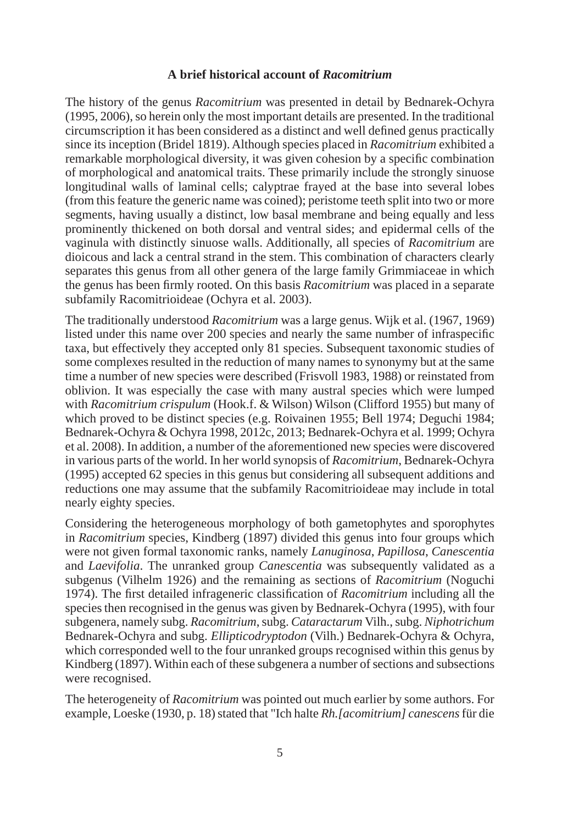### **A brief historical account of** *Racomitrium*

The history of the genus *Racomitrium* was presented in detail by Bednarek-Ochyra (1995, 2006), so herein only the most important details are presented. In the traditional circumscription it has been considered as a distinct and well defined genus practically since its inception (Bridel 1819). Although species placed in *Racomitrium* exhibited a remarkable morphological diversity, it was given cohesion by a specific combination of morphological and anatomical traits. These primarily include the strongly sinuose longitudinal walls of laminal cells; calyptrae frayed at the base into several lobes (from this feature the generic name was coined); peristome teeth split into two or more segments, having usually a distinct, low basal membrane and being equally and less prominently thickened on both dorsal and ventral sides; and epidermal cells of the vaginula with distinctly sinuose walls. Additionally, all species of *Racomitrium* are dioicous and lack a central strand in the stem. This combination of characters clearly separates this genus from all other genera of the large family Grimmiaceae in which the genus has been firmly rooted. On this basis *Racomitrium* was placed in a separate subfamily Racomitrioideae (Ochyra et al. 2003).

The traditionally understood *Racomitrium* was a large genus. Wijk et al. (1967, 1969) listed under this name over 200 species and nearly the same number of infraspecific taxa, but effectively they accepted only 81 species. Subsequent taxonomic studies of some complexes resulted in the reduction of many names to synonymy but at the same time a number of new species were described (Frisvoll 1983, 1988) or reinstated from oblivion. It was especially the case with many austral species which were lumped with *Racomitrium crispulum* (Hook.f. & Wilson) Wilson (Clifford 1955) but many of which proved to be distinct species (e.g. Roivainen 1955; Bell 1974; Deguchi 1984; Bednarek-Ochyra & Ochyra 1998, 2012c, 2013; Bednarek-Ochyra et al. 1999; Ochyra et al. 2008). In addition, a number of the aforementioned new species were discovered in various parts of the world. In her world synopsis of *Racomitrium*, Bednarek-Ochyra (1995) accepted 62 species in this genus but considering all subsequent additions and reductions one may assume that the subfamily Racomitrioideae may include in total nearly eighty species.

Considering the heterogeneous morphology of both gametophytes and sporophytes in *Racomitrium* species, Kindberg (1897) divided this genus into four groups which were not given formal taxonomic ranks, namely *Lanuginosa*, *Papillosa*, *Canescentia* and *Laevifolia*. The unranked group *Canescentia* was subsequently validated as a subgenus (Vilhelm 1926) and the remaining as sections of *Racomitrium* (Noguchi 1974). The first detailed infrageneric classification of *Racomitrium* including all the species then recognised in the genus was given by Bednarek-Ochyra (1995), with four subgenera, namely subg. *Racomitrium*, subg. *Cataractarum* Vilh., subg. *Niphotrichum*  Bednarek-Ochyra and subg. *Ellipticodryptodon* (Vilh.) Bednarek-Ochyra & Ochyra, which corresponded well to the four unranked groups recognised within this genus by Kindberg (1897). Within each of these subgenera a number of sections and subsections were recognised.

The heterogeneity of *Racomitrium* was pointed out much earlier by some authors. For example, Loeske (1930, p. 18) stated that "Ich halte *Rh.[acomitrium] canescens* für die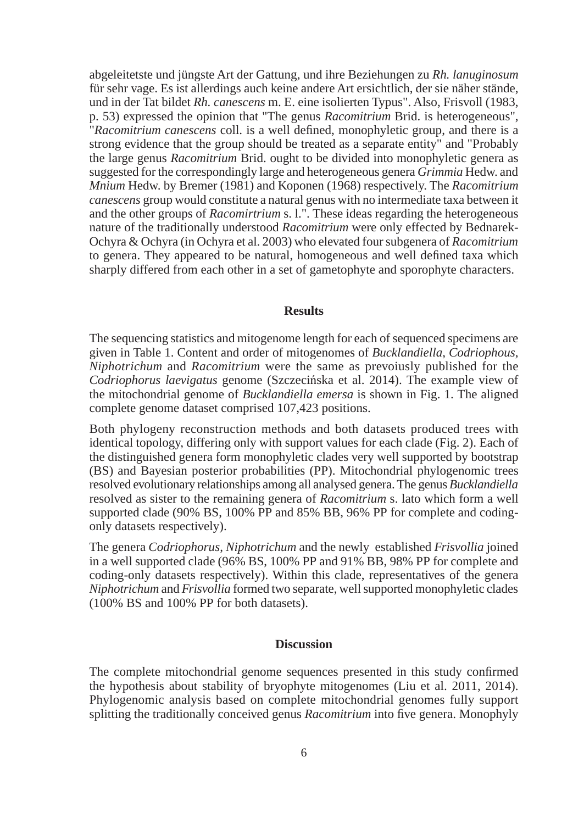abgeleitetste und jüngste Art der Gattung, und ihre Beziehungen zu *Rh. lanuginosum*  für sehr vage. Es ist allerdings auch keine andere Art ersichtlich, der sie näher stände, und in der Tat bildet *Rh. canescens* m. E. eine isolierten Typus". Also, Frisvoll (1983, p. 53) expressed the opinion that "The genus *Racomitrium* Brid. is heterogeneous", "*Racomitrium canescens* coll. is a well defined, monophyletic group, and there is a strong evidence that the group should be treated as a separate entity" and "Probably the large genus *Racomitrium* Brid. ought to be divided into monophyletic genera as suggested for the correspondingly large and heterogeneous genera *Grimmia* Hedw. and *Mnium* Hedw. by Bremer (1981) and Koponen (1968) respectively. The *Racomitrium canescens* group would constitute a natural genus with no intermediate taxa between it and the other groups of *Racomirtrium* s. l.". These ideas regarding the heterogeneous nature of the traditionally understood *Racomitrium* were only effected by Bednarek-Ochyra & Ochyra (in Ochyra et al. 2003) who elevated four subgenera of *Racomitrium* to genera. They appeared to be natural, homogeneous and well defined taxa which sharply differed from each other in a set of gametophyte and sporophyte characters.

#### **Results**

The sequencing statistics and mitogenome length for each of sequenced specimens are given in Table 1. Content and order of mitogenomes of *Bucklandiella*, *Codriophous*, *Niphotrichum* and *Racomitrium* were the same as prevoiusly published for the *Codriophorus laevigatus* genome (Szczecińska et al. 2014). The example view of the mitochondrial genome of *Bucklandiella emersa* is shown in Fig. 1. The aligned complete genome dataset comprised 107,423 positions.

Both phylogeny reconstruction methods and both datasets produced trees with identical topology, differing only with support values for each clade (Fig. 2). Each of the distinguished genera form monophyletic clades very well supported by bootstrap (BS) and Bayesian posterior probabilities (PP). Mitochondrial phylogenomic trees resolved evolutionary relationships among all analysed genera. The genus *Bucklandiella* resolved as sister to the remaining genera of *Racomitrium* s. lato which form a well supported clade (90% BS, 100% PP and 85% BB, 96% PP for complete and codingonly datasets respectively).

The genera *Codriophorus*, *Niphotrichum* and the newly established *Frisvollia* joined in a well supported clade (96% BS, 100% PP and 91% BB, 98% PP for complete and coding-only datasets respectively). Within this clade, representatives of the genera *Niphotrichum* and *Frisvollia* formed two separate, well supported monophyletic clades (100% BS and 100% PP for both datasets).

### **Discussion**

The complete mitochondrial genome sequences presented in this study confirmed the hypothesis about stability of bryophyte mitogenomes (Liu et al. 2011, 2014). Phylogenomic analysis based on complete mitochondrial genomes fully support splitting the traditionally conceived genus *Racomitrium* into five genera. Monophyly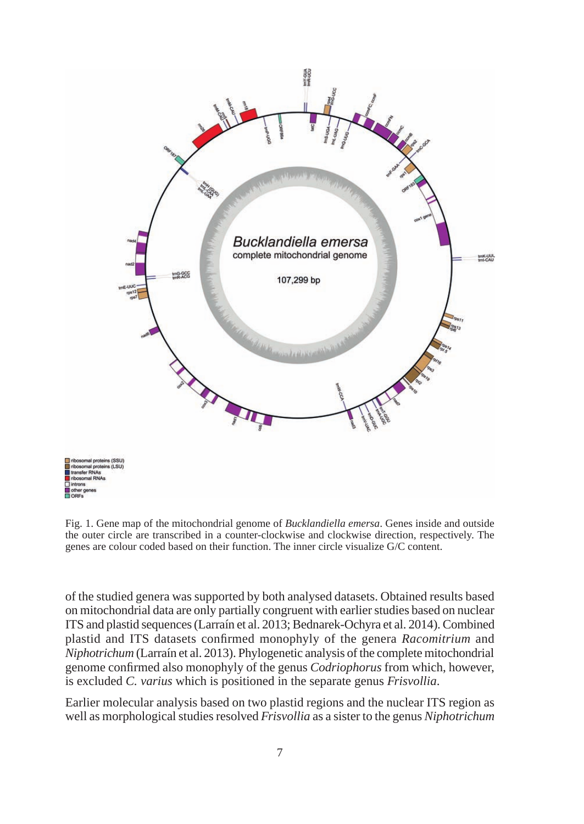

Fig. 1. Gene map of the mitochondrial genome of *Bucklandiella emersa*. Genes inside and outside the outer circle are transcribed in a counter-clockwise and clockwise direction, respectively. The genes are colour coded based on their function. The inner circle visualize G/C content.

of the studied genera was supported by both analysed datasets. Obtained results based on mitochondrial data are only partially congruent with earlier studies based on nuclear ITS and plastid sequences (Larraín et al. 2013; Bednarek-Ochyra et al. 2014). Combined plastid and ITS datasets confirmed monophyly of the genera *Racomitrium* and *Niphotrichum* (Larraín et al. 2013). Phylogenetic analysis of the complete mitochondrial genome confirmed also monophyly of the genus *Codriophorus* from which, however, is excluded *C. varius* which is positioned in the separate genus *Frisvollia*.

Earlier molecular analysis based on two plastid regions and the nuclear ITS region as well as morphological studies resolved *Frisvollia* as a sister to the genus *Niphotrichum*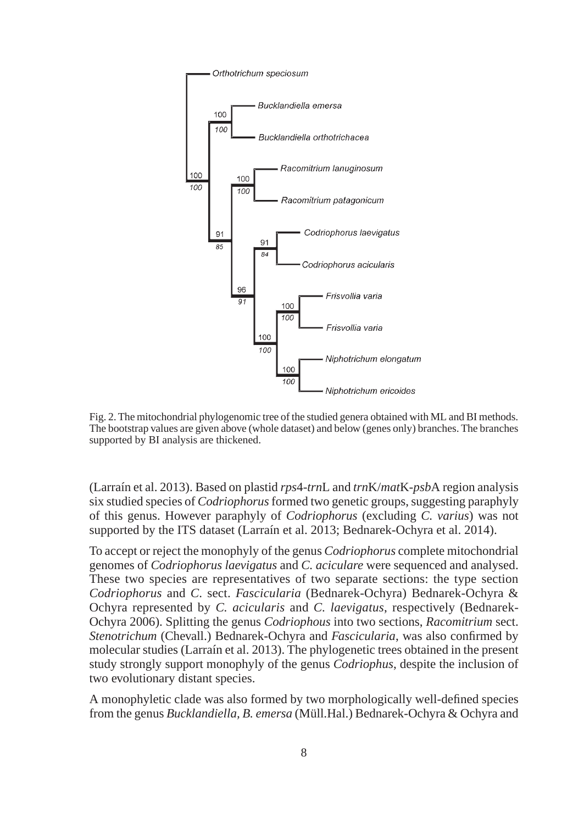

Fig. 2. The mitochondrial phylogenomic tree of the studied genera obtained with ML and BI methods. The bootstrap values are given above (whole dataset) and below (genes only) branches. The branches supported by BI analysis are thickened.

(Larraín et al. 2013). Based on plastid *rps*4-*trn*L and *trn*K/*mat*K-*psb*A region analysis six studied species of *Codriophorus* formed two genetic groups, suggesting paraphyly of this genus. However paraphyly of *Codriophorus* (excluding *C. varius*) was not supported by the ITS dataset (Larraín et al. 2013; Bednarek-Ochyra et al. 2014).

To accept or reject the monophyly of the genus *Codriophorus* complete mitochondrial genomes of *Codriophorus laevigatus* and *C. aciculare* were sequenced and analysed. These two species are representatives of two separate sections: the type section *Codriophorus* and *C*. sect. *Fascicularia* (Bednarek-Ochyra) Bednarek-Ochyra & Ochyra represented by *C. acicularis* and *C. laevigatus*, respectively (Bednarek-Ochyra 2006). Splitting the genus *Codriophous* into two sections, *Racomitrium* sect. *Stenotrichum* (Chevall.) Bednarek-Ochyra and *Fascicularia*, was also confirmed by molecular studies (Larraín et al. 2013). The phylogenetic trees obtained in the present study strongly support monophyly of the genus *Codriophus*, despite the inclusion of two evolutionary distant species.

A monophyletic clade was also formed by two morphologically well-defined species from the genus *Bucklandiella, B. emersa* (Müll.Hal.) Bednarek-Ochyra & Ochyra and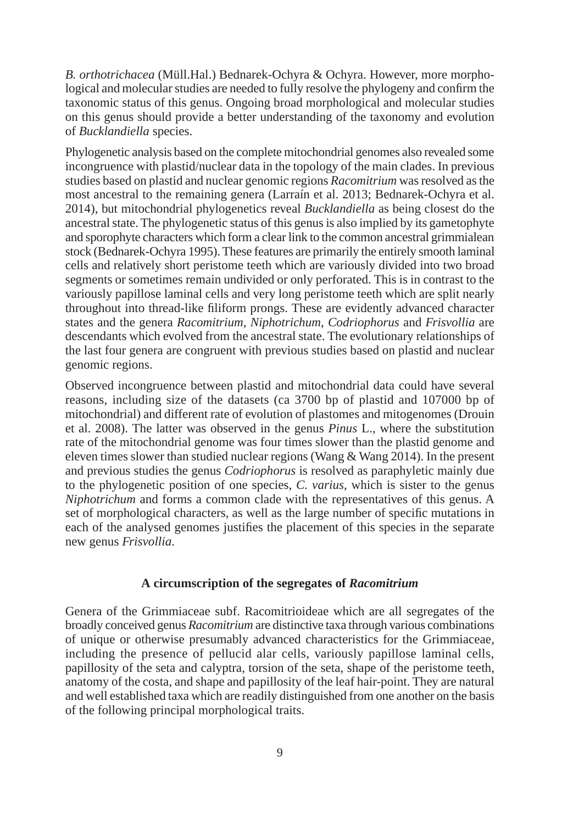*B. orthotrichacea* (Müll.Hal.) Bednarek-Ochyra & Ochyra. However, more morphological and molecular studies are needed to fully resolve the phylogeny and confirm the taxonomic status of this genus. Ongoing broad morphological and molecular studies on this genus should provide a better understanding of the taxonomy and evolution of *Bucklandiella* species.

Phylogenetic analysis based on the complete mitochondrial genomes also revealed some incongruence with plastid/nuclear data in the topology of the main clades. In previous studies based on plastid and nuclear genomic regions *Racomitrium* was resolved as the most ancestral to the remaining genera (Larraín et al. 2013; Bednarek-Ochyra et al. 2014), but mitochondrial phylogenetics reveal *Bucklandiella* as being closest do the ancestral state. The phylogenetic status of this genus is also implied by its gametophyte and sporophyte characters which form a clear link to the common ancestral grimmialean stock (Bednarek-Ochyra 1995). These features are primarily the entirely smooth laminal cells and relatively short peristome teeth which are variously divided into two broad segments or sometimes remain undivided or only perforated. This is in contrast to the variously papillose laminal cells and very long peristome teeth which are split nearly throughout into thread-like filiform prongs. These are evidently advanced character states and the genera *Racomitrium*, *Niphotrichum*, *Codriophorus* and *Frisvollia* are descendants which evolved from the ancestral state. The evolutionary relationships of the last four genera are congruent with previous studies based on plastid and nuclear genomic regions.

Observed incongruence between plastid and mitochondrial data could have several reasons, including size of the datasets (ca 3700 bp of plastid and 107000 bp of mitochondrial) and different rate of evolution of plastomes and mitogenomes (Drouin et al. 2008). The latter was observed in the genus *Pinus* L.*,* where the substitution rate of the mitochondrial genome was four times slower than the plastid genome and eleven times slower than studied nuclear regions (Wang & Wang 2014). In the present and previous studies the genus *Codriophorus* is resolved as paraphyletic mainly due to the phylogenetic position of one species, *C. varius*, which is sister to the genus *Niphotrichum* and forms a common clade with the representatives of this genus. A set of morphological characters, as well as the large number of specific mutations in each of the analysed genomes justifies the placement of this species in the separate new genus *Frisvollia*.

## **A circumscription of the segregates of** *Racomitrium*

Genera of the Grimmiaceae subf. Racomitrioideae which are all segregates of the broadly conceived genus *Racomitrium* are distinctive taxa through various combinations of unique or otherwise presumably advanced characteristics for the Grimmiaceae, including the presence of pellucid alar cells, variously papillose laminal cells, papillosity of the seta and calyptra, torsion of the seta, shape of the peristome teeth, anatomy of the costa, and shape and papillosity of the leaf hair-point. They are natural and well established taxa which are readily distinguished from one another on the basis of the following principal morphological traits.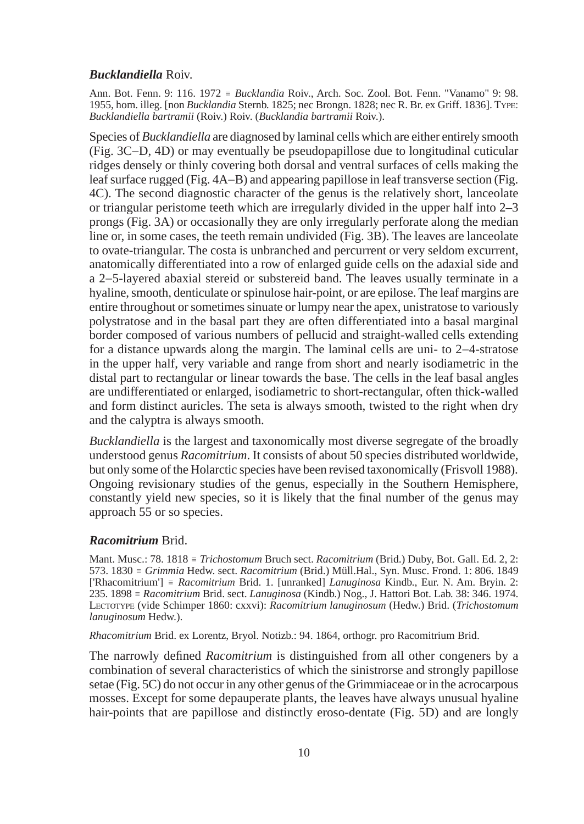### *Bucklandiella* Roiv.

Ann. Bot. Fenn. 9: 116. 1972 = *Bucklandia* Roiv., Arch. Soc. Zool. Bot. Fenn. "Vanamo" 9: 98. 1955, hom. illeg. [non *Bucklandia* Sternb. 1825; nec Brongn. 1828; nec R. Br. ex Griff. 1836]. type: *Bucklandiella bartramii* (Roiv.) Roiv. (*Bucklandia bartramii* Roiv.).

Species of *Bucklandiella* are diagnosed by laminal cells which are either entirely smooth (Fig. 3C-D, 4D) or may eventually be pseudopapillose due to longitudinal cuticular ridges densely or thinly covering both dorsal and ventral surfaces of cells making the leaf surface rugged (Fig. 4A-B) and appearing papillose in leaf transverse section (Fig. 4C). The second diagnostic character of the genus is the relatively short, lanceolate or triangular peristome teeth which are irregularly divided in the upper half into 2–3 prongs (Fig. 3A) or occasionally they are only irregularly perforate along the median line or, in some cases, the teeth remain undivided (Fig. 3B). The leaves are lanceolate to ovate-triangular. The costa is unbranched and percurrent or very seldom excurrent, anatomically differentiated into a row of enlarged guide cells on the adaxial side and a 2-5-layered abaxial stereid or substereid band. The leaves usually terminate in a hyaline, smooth, denticulate or spinulose hair-point, or are epilose. The leaf margins are entire throughout or sometimes sinuate or lumpy near the apex, unistratose to variously polystratose and in the basal part they are often differentiated into a basal marginal border composed of various numbers of pellucid and straight-walled cells extending for a distance upwards along the margin. The laminal cells are uni- to 2-4-stratose in the upper half, very variable and range from short and nearly isodiametric in the distal part to rectangular or linear towards the base. The cells in the leaf basal angles are undifferentiated or enlarged, isodiametric to short-rectangular, often thick-walled and form distinct auricles. The seta is always smooth, twisted to the right when dry and the calyptra is always smooth.

*Bucklandiella* is the largest and taxonomically most diverse segregate of the broadly understood genus *Racomitrium*. It consists of about 50 species distributed worldwide, but only some of the Holarctic species have been revised taxonomically (Frisvoll 1988). Ongoing revisionary studies of the genus, especially in the Southern Hemisphere, constantly yield new species, so it is likely that the final number of the genus may approach 55 or so species.

#### *Racomitrium* Brid.

Mant. Musc.: 78. 1818 = *Trichostomum* Bruch sect. *Racomitrium* (Brid.) Duby, Bot. Gall. Ed. 2, 2: 573. 1830 / *Grimmia* Hedw. sect. *Racomitrium* (Brid.) Müll.Hal., Syn. Musc. Frond. 1: 806. 1849 ['Rhacomitrium'] = *Racomitrium* Brid. 1. [unranked] *Lanuginosa* Kindb., Eur. N. Am. Bryin. 2: 235. 1898 / *Racomitrium* Brid. sect. *Lanuginosa* (Kindb.) Nog., J. Hattori Bot. Lab. 38: 346. 1974. lectotype (vide Schimper 1860: cxxvi): *Racomitrium lanuginosum* (Hedw.) Brid. (*Trichostomum lanuginosum* Hedw.).

*Rhacomitrium* Brid. ex Lorentz, Bryol. Notizb.: 94. 1864, orthogr. pro Racomitrium Brid.

The narrowly defined *Racomitrium* is distinguished from all other congeners by a combination of several characteristics of which the sinistrorse and strongly papillose setae (Fig. 5C) do not occur in any other genus of the Grimmiaceae or in the acrocarpous mosses. Except for some depauperate plants, the leaves have always unusual hyaline hair-points that are papillose and distinctly eroso-dentate (Fig. 5D) and are longly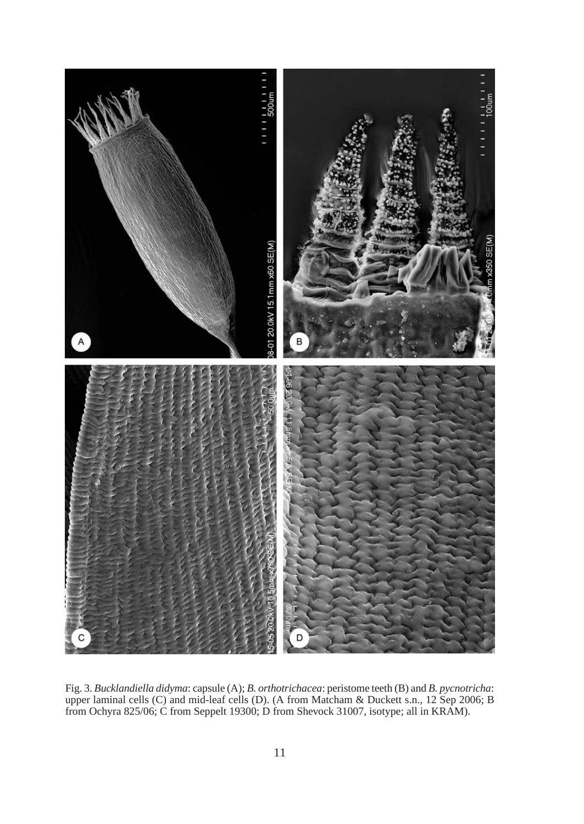

Fig. 3. *Bucklandiella didyma*: capsule (A); *B. orthotrichacea*: peristome teeth (B) and *B. pycnotricha*: upper laminal cells (C) and mid-leaf cells (D). (A from Matcham & Duckett s.n., 12 Sep 2006; B from Ochyra 825/06; C from Seppelt 19300; D from Shevock 31007, isotype; all in KRAM).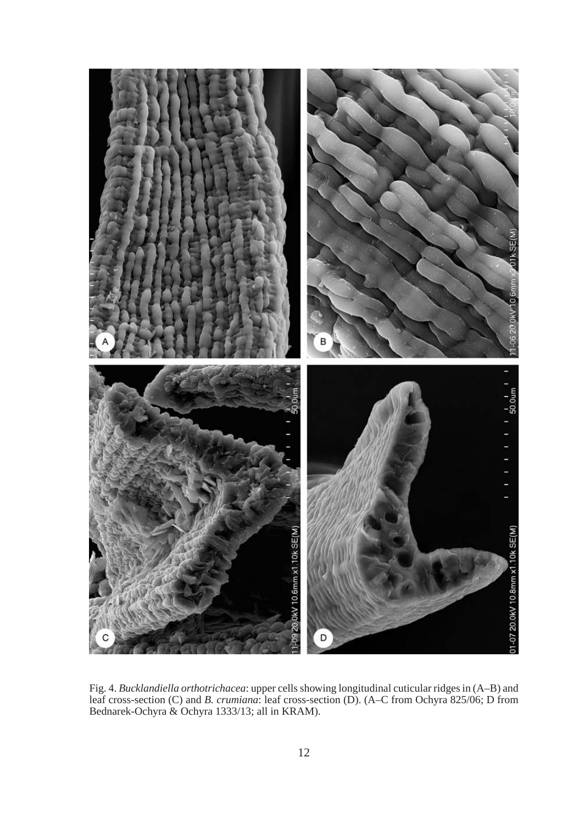

Fig. 4. *Bucklandiella orthotrichacea*: upper cells showing longitudinal cuticular ridges in (A–B) and leaf cross-section (C) and *B. crumiana*: leaf cross-section (D). (A–C from Ochyra 825/06; D from Bednarek-Ochyra & Ochyra 1333/13; all in KRAM).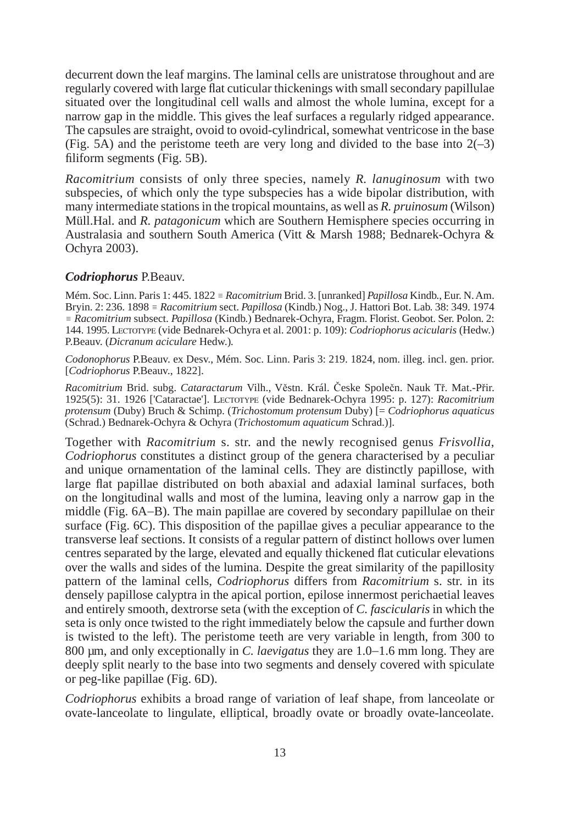decurrent down the leaf margins. The laminal cells are unistratose throughout and are regularly covered with large flat cuticular thickenings with small secondary papillulae situated over the longitudinal cell walls and almost the whole lumina, except for a narrow gap in the middle. This gives the leaf surfaces a regularly ridged appearance. The capsules are straight, ovoid to ovoid-cylindrical, somewhat ventricose in the base (Fig. 5A) and the peristome teeth are very long and divided to the base into  $2(-3)$ filiform segments (Fig. 5B).

*Racomitrium* consists of only three species, namely *R. lanuginosum* with two subspecies, of which only the type subspecies has a wide bipolar distribution, with many intermediate stations in the tropical mountains, as well as *R. pruinosum* (Wilson) Müll.Hal. and *R. patagonicum* which are Southern Hemisphere species occurring in Australasia and southern South America (Vitt & Marsh 1988; Bednarek-Ochyra & Ochyra 2003).

### *Codriophorus* P.Beauv.

Mém. Soc. Linn. Paris 1: 445. 1822 = Racomitrium Brid. 3. [unranked] *Papillosa* Kindb., Eur. N. Am. Bryin. 2: 236. 1898 = Racomitrium sect. *Papillosa* (Kindb.) Nog., J. Hattori Bot. Lab. 38: 349. 1974 / *Racomitrium* subsect. *Papillosa* (Kindb.) Bednarek-Ochyra, Fragm. Florist. Geobot. Ser. Polon. 2: 144. 1995. lectotype (vide Bednarek-Ochyra et al. 2001: p. 109): *Codriophorus acicularis* (Hedw.) P.Beauv. (*Dicranum aciculare* Hedw.)*.*

*Codonophorus* P.Beauv. ex Desv., Mém. Soc. Linn. Paris 3: 219. 1824, nom. illeg. incl. gen. prior. [*Codriophorus* P.Beauv., 1822].

*Racomitrium* Brid. subg. *Cataractarum* Vilh., Věstn. Král. Česke Společn. Nauk Tř. Mat.-Přir. 1925(5): 31. 1926 ['Cataractae']. lectotype (vide Bednarek-Ochyra 1995: p. 127): *Racomitrium protensum* (Duby) Bruch & Schimp. (*Trichostomum protensum* Duby) [= *Codriophorus aquaticus*  (Schrad.) Bednarek-Ochyra & Ochyra (*Trichostomum aquaticum* Schrad.)].

Together with *Racomitrium* s. str. and the newly recognised genus *Frisvollia*, *Codriophorus* constitutes a distinct group of the genera characterised by a peculiar and unique ornamentation of the laminal cells. They are distinctly papillose, with large flat papillae distributed on both abaxial and adaxial laminal surfaces, both on the longitudinal walls and most of the lumina, leaving only a narrow gap in the middle (Fig. 6A-B). The main papillae are covered by secondary papillulae on their surface (Fig. 6C). This disposition of the papillae gives a peculiar appearance to the transverse leaf sections. It consists of a regular pattern of distinct hollows over lumen centres separated by the large, elevated and equally thickened flat cuticular elevations over the walls and sides of the lumina. Despite the great similarity of the papillosity pattern of the laminal cells, *Codriophorus* differs from *Racomitrium* s. str. in its densely papillose calyptra in the apical portion, epilose innermost perichaetial leaves and entirely smooth, dextrorse seta (with the exception of *C. fascicularis* in which the seta is only once twisted to the right immediately below the capsule and further down is twisted to the left). The peristome teeth are very variable in length, from 300 to 800 µm, and only exceptionally in *C. laevigatus* they are 1.0-1.6 mm long. They are deeply split nearly to the base into two segments and densely covered with spiculate or peg-like papillae (Fig. 6D).

*Codriophorus* exhibits a broad range of variation of leaf shape, from lanceolate or ovate-lanceolate to lingulate, elliptical, broadly ovate or broadly ovate-lanceolate.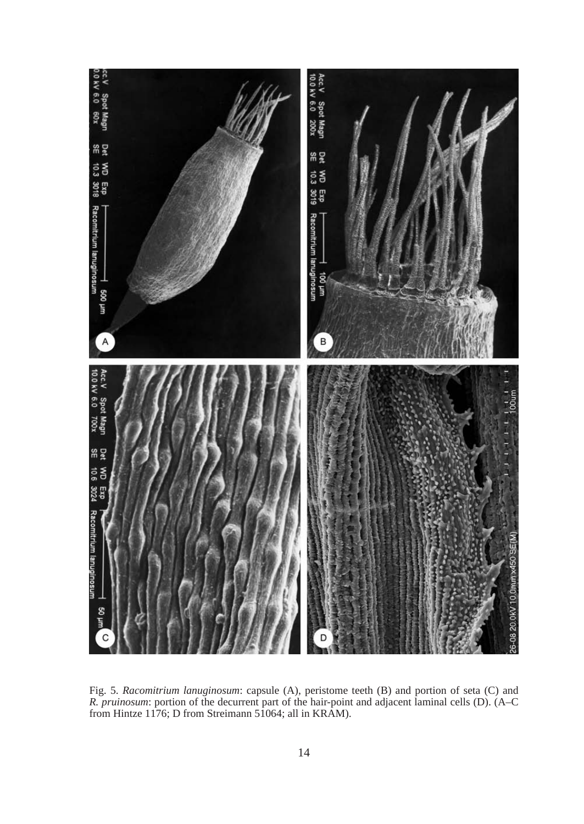

Fig. 5. *Racomitrium lanuginosum*: capsule (A), peristome teeth (B) and portion of seta (C) and *R. pruinosum*: portion of the decurrent part of the hair-point and adjacent laminal cells (D). (A–C from Hintze 1176; D from Streimann 51064; all in KRAM).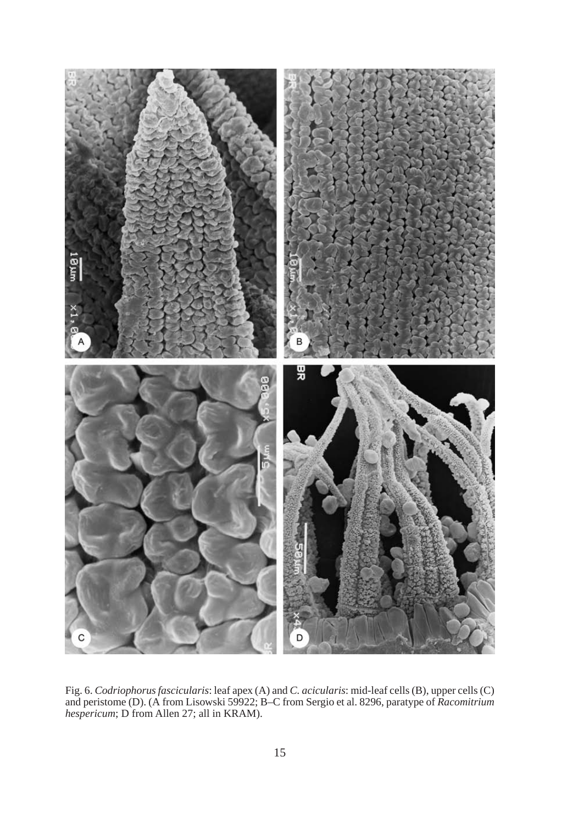

Fig. 6. *Codriophorus fascicularis*: leaf apex (A) and *C. acicularis*: mid-leaf cells (B), upper cells (C) and peristome (D). (A from Lisowski 59922; B–C from Sergio et al. 8296, paratype of *Racomitrium hespericum*; D from Allen 27; all in KRAM).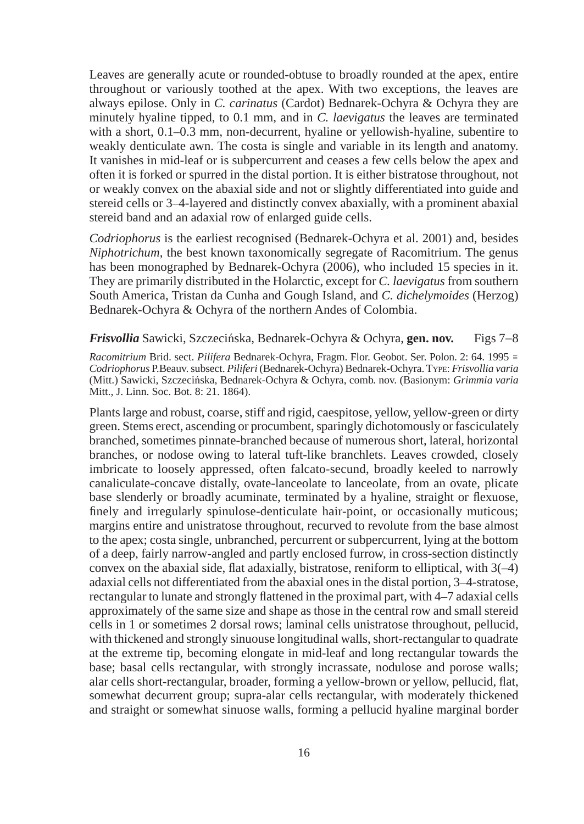Leaves are generally acute or rounded-obtuse to broadly rounded at the apex, entire throughout or variously toothed at the apex. With two exceptions, the leaves are always epilose. Only in *C. carinatus* (Cardot) Bednarek-Ochyra & Ochyra they are minutely hyaline tipped, to 0.1 mm, and in *C. laevigatus* the leaves are terminated with a short,  $0.1-0.3$  mm, non-decurrent, hyaline or yellowish-hyaline, subentire to weakly denticulate awn. The costa is single and variable in its length and anatomy. It vanishes in mid-leaf or is subpercurrent and ceases a few cells below the apex and often it is forked or spurred in the distal portion. It is either bistratose throughout, not or weakly convex on the abaxial side and not or slightly differentiated into guide and stereid cells or 3–4-layered and distinctly convex abaxially, with a prominent abaxial stereid band and an adaxial row of enlarged guide cells.

*Codriophorus* is the earliest recognised (Bednarek-Ochyra et al. 2001) and, besides *Niphotrichum*, the best known taxonomically segregate of Racomitrium. The genus has been monographed by Bednarek-Ochyra (2006), who included 15 species in it. They are primarily distributed in the Holarctic, except for *C. laevigatus* from southern South America, Tristan da Cunha and Gough Island, and *C. dichelymoides* (Herzog) Bednarek-Ochyra & Ochyra of the northern Andes of Colombia.

## *Frisvollia* Sawicki, Szczecińska, Bednarek-Ochyra & Ochyra, **gen. nov.** Figs 7-8

*Racomitrium Brid. sect. Pilifera Bednarek-Ochyra, Fragm. Flor. Geobot. Ser. Polon. 2: 64. 1995 Codriophorus* P.Beauv. subsect. *Piliferi* (Bednarek-Ochyra) Bednarek-Ochyra. type: *Frisvollia varia* (Mitt.) Sawicki, Szczecińska, Bednarek-Ochyra & Ochyra, comb. nov. (Basionym: *Grimmia varia* Mitt., J. Linn. Soc. Bot. 8: 21. 1864).

Plants large and robust, coarse, stiff and rigid, caespitose, yellow, yellow-green or dirty green. Stems erect, ascending or procumbent, sparingly dichotomously or fasciculately branched, sometimes pinnate-branched because of numerous short, lateral, horizontal branches, or nodose owing to lateral tuft-like branchlets. Leaves crowded, closely imbricate to loosely appressed, often falcato-secund, broadly keeled to narrowly canaliculate-concave distally, ovate-lanceolate to lanceolate, from an ovate, plicate base slenderly or broadly acuminate, terminated by a hyaline, straight or flexuose, finely and irregularly spinulose-denticulate hair-point, or occasionally muticous; margins entire and unistratose throughout, recurved to revolute from the base almost to the apex; costa single, unbranched, percurrent or subpercurrent, lying at the bottom of a deep, fairly narrow-angled and partly enclosed furrow, in cross-section distinctly convex on the abaxial side, flat adaxially, bistratose, reniform to elliptical, with 3(–4) adaxial cells not differentiated from the abaxial ones in the distal portion, 3–4-stratose, rectangular to lunate and strongly flattened in the proximal part, with 4–7 adaxial cells approximately of the same size and shape as those in the central row and small stereid cells in 1 or sometimes 2 dorsal rows; laminal cells unistratose throughout, pellucid, with thickened and strongly sinuouse longitudinal walls, short-rectangular to quadrate at the extreme tip, becoming elongate in mid-leaf and long rectangular towards the base; basal cells rectangular, with strongly incrassate, nodulose and porose walls; alar cells short-rectangular, broader, forming a yellow-brown or yellow, pellucid, flat, somewhat decurrent group; supra-alar cells rectangular, with moderately thickened and straight or somewhat sinuose walls, forming a pellucid hyaline marginal border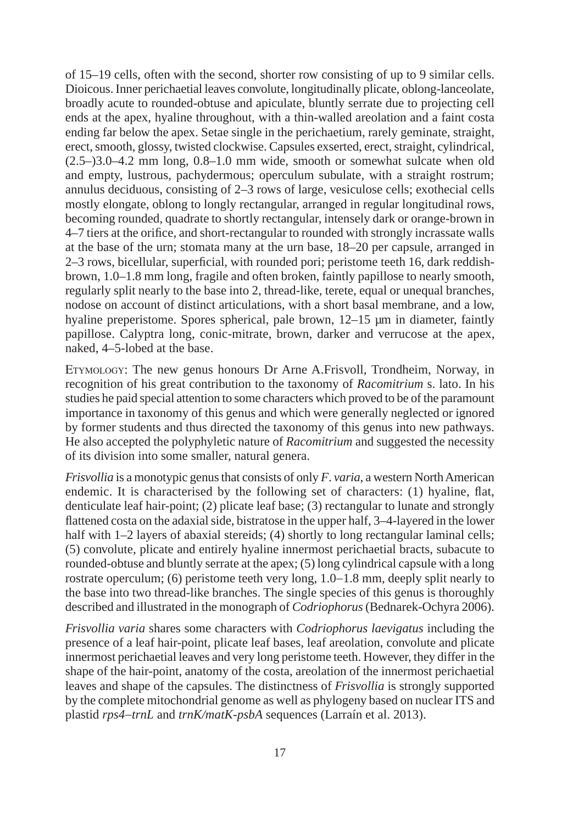of 15–19 cells, often with the second, shorter row consisting of up to 9 similar cells. Dioicous. Inner perichaetial leaves convolute, longitudinally plicate, oblong-lanceolate, broadly acute to rounded-obtuse and apiculate, bluntly serrate due to projecting cell ends at the apex, hyaline throughout, with a thin-walled areolation and a faint costa ending far below the apex. Setae single in the perichaetium, rarely geminate, straight, erect, smooth, glossy, twisted clockwise. Capsules exserted, erect, straight, cylindrical, (2.5–)3.0–4.2 mm long, 0.8–1.0 mm wide, smooth or somewhat sulcate when old and empty, lustrous, pachydermous; operculum subulate, with a straight rostrum; annulus deciduous, consisting of 2–3 rows of large, vesiculose cells; exothecial cells mostly elongate, oblong to longly rectangular, arranged in regular longitudinal rows, becoming rounded, quadrate to shortly rectangular, intensely dark or orange-brown in 4–7 tiers at the orifice, and short-rectangular to rounded with strongly incrassate walls at the base of the urn; stomata many at the urn base, 18–20 per capsule, arranged in 2–3 rows, bicellular, superficial, with rounded pori; peristome teeth 16, dark reddishbrown, 1.0–1.8 mm long, fragile and often broken, faintly papillose to nearly smooth, regularly split nearly to the base into 2, thread-like, terete, equal or unequal branches, nodose on account of distinct articulations, with a short basal membrane, and a low, hyaline preperistome. Spores spherical, pale brown, 12–15  $\mu$ m in diameter, faintly papillose. Calyptra long, conic-mitrate, brown, darker and verrucose at the apex, naked, 4–5-lobed at the base.

ETYMOLOGY: The new genus honours Dr Arne A.Frisvoll, Trondheim, Norway, in recognition of his great contribution to the taxonomy of *Racomitrium* s. lato. In his studies he paid special attention to some characters which proved to be of the paramount importance in taxonomy of this genus and which were generally neglected or ignored by former students and thus directed the taxonomy of this genus into new pathways. He also accepted the polyphyletic nature of *Racomitrium* and suggested the necessity of its division into some smaller, natural genera.

*Frisvollia* is a monotypic genus that consists of only *F*. *varia*, a western North American endemic. It is characterised by the following set of characters: (1) hyaline, flat, denticulate leaf hair-point; (2) plicate leaf base; (3) rectangular to lunate and strongly flattened costa on the adaxial side, bistratose in the upper half, 3–4-layered in the lower half with  $1-2$  layers of abaxial stereids; (4) shortly to long rectangular laminal cells; (5) convolute, plicate and entirely hyaline innermost perichaetial bracts, subacute to rounded-obtuse and bluntly serrate at the apex; (5) long cylindrical capsule with a long rostrate operculum; (6) peristome teeth very long, 1.0-1.8 mm, deeply split nearly to the base into two thread-like branches. The single species of this genus is thoroughly described and illustrated in the monograph of *Codriophorus* (Bednarek-Ochyra 2006).

*Frisvollia varia* shares some characters with *Codriophorus laevigatus* including the presence of a leaf hair-point, plicate leaf bases, leaf areolation, convolute and plicate innermost perichaetial leaves and very long peristome teeth. However, they differ in the shape of the hair-point, anatomy of the costa, areolation of the innermost perichaetial leaves and shape of the capsules. The distinctness of *Frisvollia* is strongly supported by the complete mitochondrial genome as well as phylogeny based on nuclear ITS and plastid *rps4*-*trnL* and *trnK/matK-psbA* sequences (Larraín et al. 2013).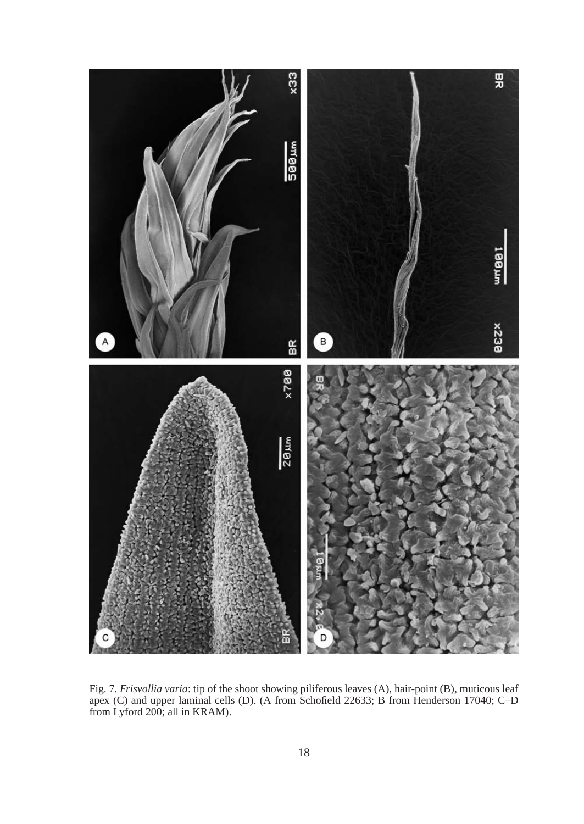

Fig. 7. *Frisvollia varia*: tip of the shoot showing piliferous leaves (A), hair-point (B), muticous leaf apex (C) and upper laminal cells (D). (A from Schofield 22633; B from Henderson 17040; C–D from Lyford 200; all in KRAM).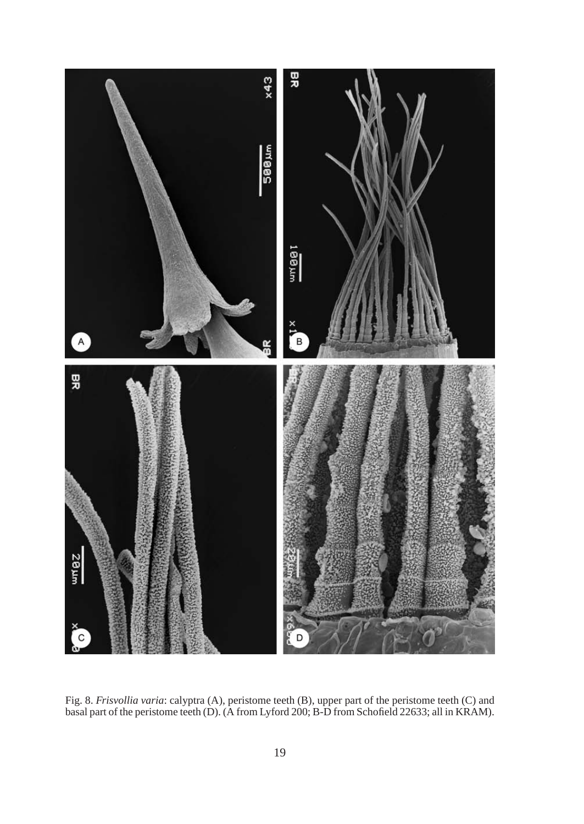

Fig. 8. *Frisvollia varia*: calyptra (A), peristome teeth (B), upper part of the peristome teeth (C) and basal part of the peristome teeth (D). (A from Lyford 200; B-D from Schofield 22633; all in KRAM).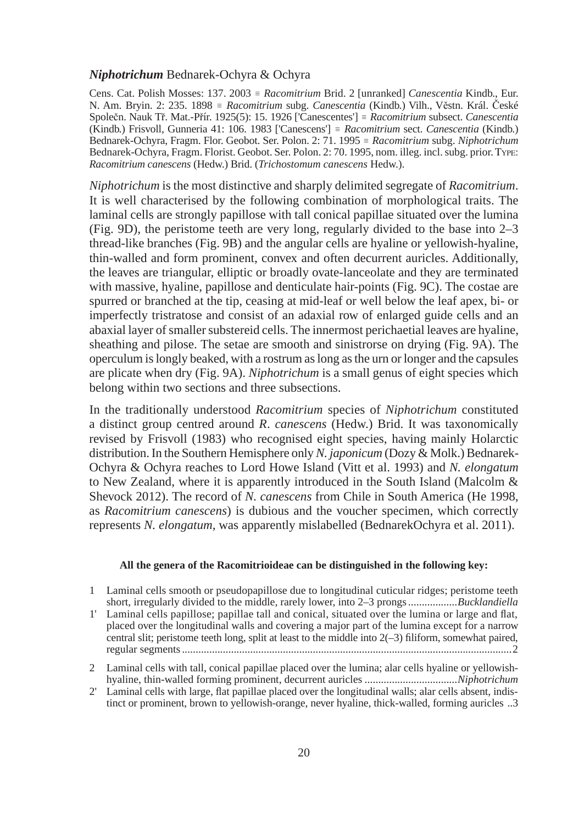#### *Niphotrichum* Bednarek-Ochyra & Ochyra

Cens. Cat. Polish Mosses: 137. 2003 = *Racomitrium* Brid. 2 [unranked] *Canescentia* Kindb., Eur. N. Am. Bryin. 2: 235. 1898 = *Racomitrium* subg. *Canescentia* (Kindb.) Vilh., Věstn. Král. České Společn. Nauk Tř. Mat.-Přír. 1925(5): 15. 1926 ['Canescentes'] / *Racomitrium* subsect. *Canescentia* (Kindb.) Frisvoll, Gunneria 41: 106. 1983 ['Canescens'] / *Racomitrium* sect. *Canescentia* (Kindb.) Bednarek-Ochyra, Fragm. Flor. Geobot. Ser. Polon. 2: 71. 1995 = Racomitrium subg. *Niphotrichum* Bednarek-Ochyra, Fragm. Florist. Geobot. Ser. Polon. 2: 70. 1995, nom. illeg. incl. subg. prior. type: *Racomitrium canescens* (Hedw.) Brid. (*Trichostomum canescens* Hedw.).

*Niphotrichum* is the most distinctive and sharply delimited segregate of *Racomitrium*. It is well characterised by the following combination of morphological traits. The laminal cells are strongly papillose with tall conical papillae situated over the lumina (Fig. 9D), the peristome teeth are very long, regularly divided to the base into 2–3 thread-like branches (Fig. 9B) and the angular cells are hyaline or yellowish-hyaline, thin-walled and form prominent, convex and often decurrent auricles. Additionally, the leaves are triangular, elliptic or broadly ovate-lanceolate and they are terminated with massive, hyaline, papillose and denticulate hair-points (Fig. 9C). The costae are spurred or branched at the tip, ceasing at mid-leaf or well below the leaf apex, bi- or imperfectly tristratose and consist of an adaxial row of enlarged guide cells and an abaxial layer of smaller substereid cells. The innermost perichaetial leaves are hyaline, sheathing and pilose. The setae are smooth and sinistrorse on drying (Fig. 9A). The operculum is longly beaked, with a rostrum as long as the urn or longer and the capsules are plicate when dry (Fig. 9A). *Niphotrichum* is a small genus of eight species which belong within two sections and three subsections.

In the traditionally understood *Racomitrium* species of *Niphotrichum* constituted a distinct group centred around *R*. *canescens* (Hedw.) Brid. It was taxonomically revised by Frisvoll (1983) who recognised eight species, having mainly Holarctic distribution. In the Southern Hemisphere only *N. japonicum* (Dozy & Molk.) Bednarek-Ochyra & Ochyra reaches to Lord Howe Island (Vitt et al. 1993) and *N. elongatum*  to New Zealand, where it is apparently introduced in the South Island (Malcolm & Shevock 2012). The record of *N. canescens* from Chile in South America (He 1998, as *Racomitrium canescens*) is dubious and the voucher specimen, which correctly represents *N. elongatum*, was apparently mislabelled (BednarekOchyra et al. 2011).

#### **All the genera of the Racomitrioideae can be distinguished in the following key:**

- 1 Laminal cells smooth or pseudopapillose due to longitudinal cuticular ridges; peristome teeth short, irregularly divided to the middle, rarely lower, into 2–3 prongs ..................*Bucklandiella*
- 1' Laminal cells papillose; papillae tall and conical, situated over the lumina or large and flat, placed over the longitudinal walls and covering a major part of the lumina except for a narrow central slit; peristome teeth long, split at least to the middle into 2(–3) filiform, somewhat paired, regular segments .........................................................................................................................2
- 2 Laminal cells with tall, conical papillae placed over the lumina; alar cells hyaline or yellowish hyaline, thin-walled forming prominent, decurrent auricles ..................................*Niphotrichum*
- Laminal cells with large, flat papillae placed over the longitudinal walls; alar cells absent, indistinct or prominent, brown to yellowish-orange, never hyaline, thick-walled, forming auricles ..3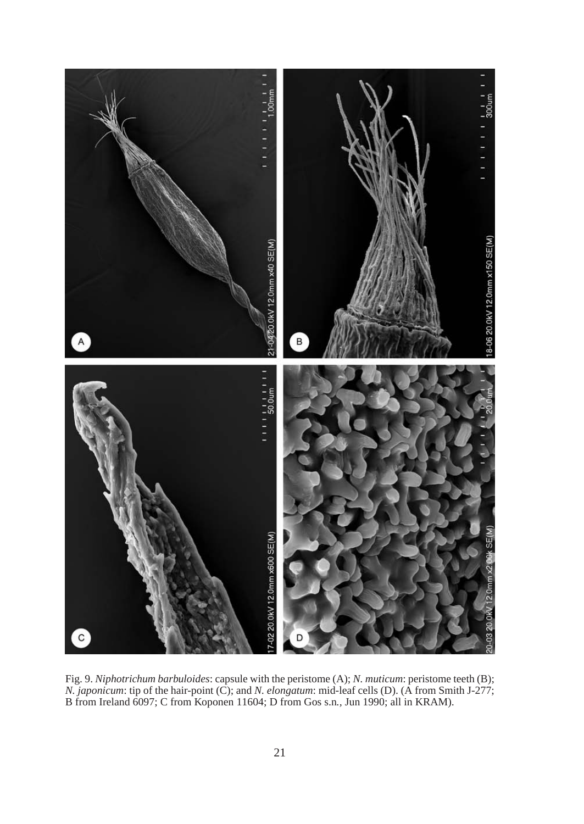

Fig. 9. *Niphotrichum barbuloides*: capsule with the peristome (A); *N. muticum*: peristome teeth (B); *N. japonicum*: tip of the hair-point (C); and *N. elongatum*: mid-leaf cells (D). (A from Smith J-277; B from Ireland 6097; C from Koponen 11604; D from Gos s.n*.,* Jun 1990; all in KRAM).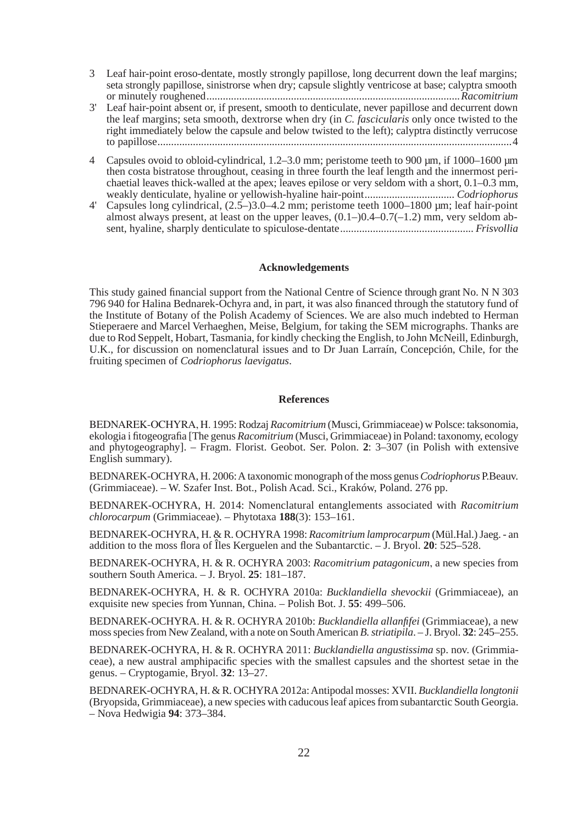- 3 Leaf hair-point eroso-dentate, mostly strongly papillose, long decurrent down the leaf margins; seta strongly papillose, sinistrorse when dry; capsule slightly ventricose at base; calyptra smooth or minutely roughened .............................................................................................*Racomitrium*
- Leaf hair-point absent or, if present, smooth to denticulate, never papillose and decurrent down the leaf margins; seta smooth, dextrorse when dry (in *C. fascicularis* only once twisted to the right immediately below the capsule and below twisted to the left); calyptra distinctly verrucose to papillose ..................................................................................................................................4
- 4 Capsules ovoid to obloid-cylindrical, 1.2–3.0 mm; peristome teeth to 900 µm, if 1000–1600 µm then costa bistratose throughout, ceasing in three fourth the leaf length and the innermost perichaetial leaves thick-walled at the apex; leaves epilose or very seldom with a short, 0.1–0.3 mm, weakly denticulate, hyaline or yellowish-hyaline hair-point ................................. *Codriophorus*
- 4' Capsules long cylindrical,  $(2.5-)3.0-4.2$  mm; peristome teeth 1000–1800 µm; leaf hair-point almost always present, at least on the upper leaves,  $(0.1-0.4-0.7(-1.2)$  mm, very seldom absent, hyaline, sharply denticulate to spiculose-dentate ................................................. *Frisvollia*

#### **Acknowledgements**

This study gained financial support from the National Centre of Science through grant No. N N 303 796 940 for Halina Bednarek-Ochyra and, in part, it was also financed through the statutory fund of the Institute of Botany of the Polish Academy of Sciences. We are also much indebted to Herman Stieperaere and Marcel Verhaeghen, Meise, Belgium, for taking the SEM micrographs. Thanks are due to Rod Seppelt, Hobart, Tasmania, for kindly checking the English, to John McNeill, Edinburgh, U.K., for discussion on nomenclatural issues and to Dr Juan Larraín, Concepción, Chile, for the fruiting specimen of *Codriophorus laevigatus*.

#### **References**

BEDNAREK-OCHYRA, H. 1995: Rodzaj *Racomitrium* (Musci, Grimmiaceae) w Polsce: taksonomia, ekologia i fitogeografia [The genus *Racomitrium* (Musci, Grimmiaceae) in Poland: taxonomy, ecology and phytogeography]. – Fragm. Florist. Geobot. Ser. Polon. **2**: 3–307 (in Polish with extensive English summary).

BEDNAREK-OCHYRA, H. 2006: A taxonomic monograph of the moss genus *Codriophorus* P.Beauv. (Grimmiaceae). – W. Szafer Inst. Bot., Polish Acad. Sci., Kraków, Poland. 276 pp.

BEDNAREK-OCHYRA, H. 2014: Nomenclatural entanglements associated with *Racomitrium chlorocarpum* (Grimmiaceae). – Phytotaxa **188**(3): 153–161.

BEDNAREK-OCHYRA, H. & R. OCHYRA 1998: *Racomitrium lamprocarpum* (Mül.Hal.) Jaeg. - an addition to the moss flora of Îles Kerguelen and the Subantarctic. – J. Bryol. **20**: 525–528.

BEDNAREK-OCHYRA, H. & R. OCHYRA 2003: *Racomitrium patagonicum*, a new species from southern South America. – J. Bryol. **25**: 181–187.

BEDNAREK-OCHYRA, H. & R. OCHYRA 2010a: *Bucklandiella shevockii* (Grimmiaceae), an exquisite new species from Yunnan, China. – Polish Bot. J. **55**: 499–506.

BEDNAREK-OCHYRA. H. & R. OCHYRA 2010b: *Bucklandiella allanfifei* (Grimmiaceae), a new moss species from New Zealand, with a note on South American *B. striatipila*. – J. Bryol. **32**: 245–255.

BEDNAREK-OCHYRA, H. & R. OCHYRA 2011: *Bucklandiella angustissima* sp. nov. (Grimmiaceae), a new austral amphipacific species with the smallest capsules and the shortest setae in the genus. – Cryptogamie, Bryol. **32**: 13–27.

BEDNAREK-OCHYRA, H. & R. OCHYRA 2012a: Antipodal mosses: XVII. *Bucklandiella longtonii*  (Bryopsida, Grimmiaceae), a new species with caducous leaf apices from subantarctic South Georgia. – Nova Hedwigia **94**: 373–384.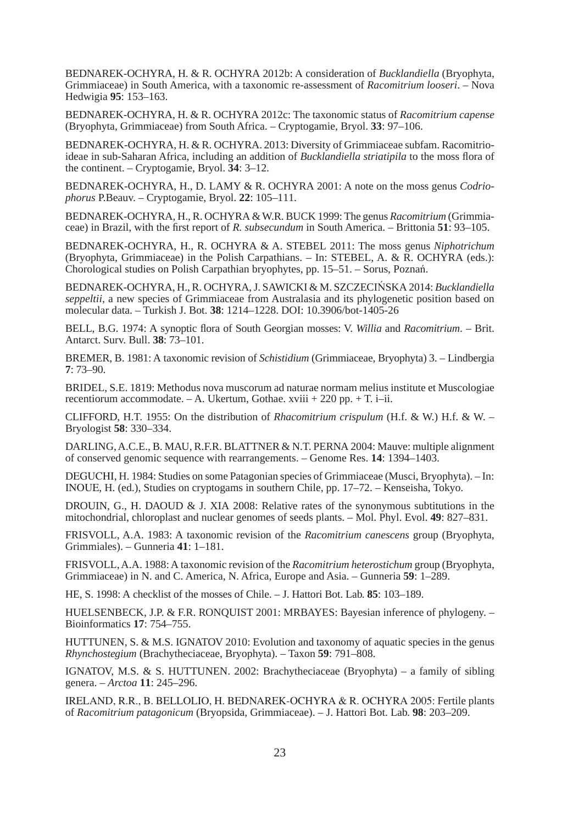BEDNAREK-OCHYRA, H. & R. OCHYRA 2012b: a consideration of *Bucklandiella* (Bryophyta, Grimmiaceae) in South America, with a taxonomic re-assessment of *Racomitrium looseri*. – Nova Hedwigia **95**: 153–163.

BEDNAREK-OCHYRA, H. & R. OCHYRA 2012c: The taxonomic status of *Racomitrium capense*  (Bryophyta, Grimmiaceae) from South Africa. – Cryptogamie, Bryol. **33**: 97–106.

BEDNAREK-OCHYRA, H. & R. OCHYRA. 2013: Diversity of Grimmiaceae subfam. Racomitrioideae in sub-Saharan Africa, including an addition of *Bucklandiella striatipila* to the moss flora of the continent. – Cryptogamie, Bryol. **34**: 3–12.

BEDNAREK-OCHYRA, H., D. LAMY & R. OCHYRA 2001: A note on the moss genus *Codriophorus* P.Beauv. – Cryptogamie, Bryol. **22**: 105–111.

BEDNAREK-OCHYRA, H., R. OCHYRA & W.R. BUCK 1999: The genus *Racomitrium* (Grimmiaceae) in Brazil, with the first report of *R. subsecundum* in South America. – Brittonia **51**: 93–105.

BEDNAREK-OCHYRA, H., R. OCHYRA & A. STEBEL 2011: The moss genus *Niphotrichum* (Bryophyta, Grimmiaceae) in the Polish Carpathians. – In: STEBEL, A. & R. OCHYRA (eds.): Chorological studies on Polish Carpathian bryophytes, pp. 15–51. – Sorus, Poznań.

BEDNAREK-OCHYRA, H., R. OCHYRA, J. SAWICKI & M. SZCZECIŃSKA 2014: *Bucklandiella seppeltii*, a new species of Grimmiaceae from Australasia and its phylogenetic position based on molecular data. – Turkish J. Bot. **38**: 1214–1228. DOI: 10.3906/bot-1405-26

BELL, B.G. 1974: A synoptic flora of South Georgian mosses: V. *Willia* and *Racomitrium*. – Brit. Antarct. Surv. Bull. **38**: 73–101.

BREMER, B. 1981: A taxonomic revision of *Schistidium* (Grimmiaceae, Bryophyta) 3. – Lindbergia **7**: 73–90.

BRIDEL, S.E. 1819: Methodus nova muscorum ad naturae normam melius institute et Muscologiae recentiorum accommodate. – A. Ukertum, Gothae. xviii + 220 pp. + T. i–ii.

CLIFFORD, H.T. 1955: On the distribution of *Rhacomitrium crispulum* (H.f. & W.) H.f. & W. – Bryologist **58**: 330–334.

DARLING, A.C.E., B. MAU, R.F.R. BLATTNER & N.T. PERNA 2004: Mauve: multiple alignment of conserved genomic sequence with rearrangements. – Genome Res. **14**: 1394–1403.

DegUcHi, H. 1984: Studies on some Patagonian species of Grimmiaceae (Musci, Bryophyta). – In: InoUe, H. (ed.), Studies on cryptogams in southern Chile, pp. 17–72. – Kenseisha, Tokyo.

DROUIN, G., H. DAOUD & J. XIA 2008: Relative rates of the synonymous subtitutions in the mitochondrial, chloroplast and nuclear genomes of seeds plants. – Mol. Phyl. Evol. **49**: 827–831.

FRISVOLL, A.A. 1983: A taxonomic revision of the *Racomitrium canescens* group (Bryophyta, Grimmiales). – Gunneria **41**: 1–181.

FRISVOLL, A.A. 1988: A taxonomic revision of the *Racomitrium heterostichum* group (Bryophyta, Grimmiaceae) in N. and C. America, N. Africa, Europe and Asia. – Gunneria **59**: 1–289.

HE, S. 1998: A checklist of the mosses of Chile. – J. Hattori Bot. Lab. **85**: 103–189.

HUELSENBECK, J.P. & F.R. RONQUIST 2001: MRBAYES: Bayesian inference of phylogeny. – Bioinformatics **17**: 754–755.

HUTTUNEN, S. & M.S. IGNATOV 2010: Evolution and taxonomy of aquatic species in the genus *Rhynchostegium* (Brachytheciaceae, Bryophyta). – Taxon **59**: 791–808.

IGNATOV, M.S. & S. HUTTUNEN. 2002: Brachytheciaceae (Bryophyta) – a family of sibling genera. – *Arctoa* **11**: 245–296.

irelanD, r.r., B. Bellolio, H. BeDnareK-ocHyra & r. ocHyra 2005: Fertile plants of *Racomitrium patagonicum* (Bryopsida, Grimmiaceae). – J. Hattori Bot. Lab. **98**: 203–209.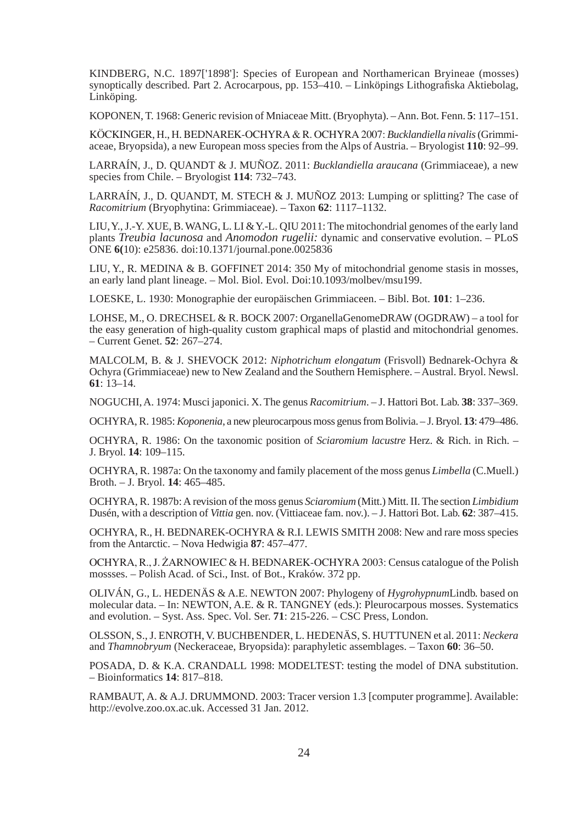KINDBERG, N.C. 1897['1898']: Species of European and Northamerican Bryineae (mosses) synoptically described. Part 2. Acrocarpous, pp. 153–410. – Linköpings Lithografiska Aktiebolag, Linköping.

KOPONEN, T. 1968: Generic revision of Mniaceae Mitt. (Bryophyta). – Ann. Bot. Fenn. **5**: 117–151.

KÖcKinger, H., H. BeDnareK-ocHyra & r. ocHyra 2007: *Bucklandiella nivalis* (Grimmiaceae, Bryopsida), a new European moss species from the Alps of Austria. – Bryologist **110**: 92–99.

LARRAÍN, J., D. QUANDT & J. MUÑOZ. 2011: *Bucklandiella araucana* (Grimmiaceae), a new species from Chile. – Bryologist **114**: 732–743.

LARRAÍN, J., D. QUANDT, M. STECH & J. MUÑOZ 2013: Lumping or splitting? The case of *Racomitrium* (Bryophytina: Grimmiaceae). – Taxon **62**: 1117–1132.

LIU, Y., J.-Y. XUE, B. WANG, L. LI & Y.-L. OIU 2011: The mitochondrial genomes of the early land plants *Treubia lacunosa* and *Anomodon rugelii:* dynamic and conservative evolution. – PLoS ONE **6(**10): e25836. doi:10.1371/journal.pone.0025836

LIU, Y., R. MEDINA & B. GOFFINET 2014: 350 My of mitochondrial genome stasis in mosses, an early land plant lineage. – Mol. Biol. Evol. Doi:10.1093/molbev/msu199.

LOESKE, L. 1930: Monographie der europäischen Grimmiaceen. – Bibl. Bot. **101**: 1–236.

LOHSE, M., O. DRECHSEL & R. BOCK 2007: OrganellaGenomeDRAW (OGDRAW) – a tool for the easy generation of high-quality custom graphical maps of plastid and mitochondrial genomes. – Current Genet. **52**: 267–274.

MALCOLM, B. & J. SHEVOCK 2012: *Niphotrichum elongatum* (Frisvoll) Bednarek-Ochyra & Ochyra (Grimmiaceae) new to New Zealand and the Southern Hemisphere. – Austral. Bryol. Newsl. **61**: 13–14.

NOGUCHI, A. 1974: Musci japonici. X. The genus *Racomitrium*. – J. Hattori Bot. Lab. **38**: 337–369.

OCHYRA, R. 1985: *Koponenia*, a new pleurocarpous moss genus from Bolivia. – J. Bryol. **13**: 479–486.

OCHYRA, R. 1986: On the taxonomic position of *Sciaromium lacustre* Herz. & Rich. in Rich. – J. Bryol. **14**: 109–115.

OCHYRA, R. 1987a: On the taxonomy and family placement of the moss genus *Limbella* (C.Muell.) Broth. – J. Bryol. **14**: 465–485.

OCHYRA, R. 1987b: A revision of the moss genus *Sciaromium* (Mitt.) Mitt. II. The section *Limbidium*  Dusén, with a description of *Vittia* gen. nov. (Vittiaceae fam. nov.). – J. Hattori Bot. Lab. **62**: 387–415.

OCHYRA, R., H. BEDNAREK-OCHYRA & R.I. LEWIS SMITH 2008: New and rare moss species from the Antarctic. – Nova Hedwigia **87**: 457–477.

ocHyra, r., J. ŻarnoWiec & H. BeDnareK-ocHyra 2003: Census catalogue of the Polish mossses. – Polish Acad. of Sci., Inst. of Bot., Kraków. 372 pp.

OLIVÁN, G., L. HEDENÄS & A.E. NEWTON 2007: Phylogeny of *Hygrohypnum*Lindb. based on molecular data. – In: NEWTON, A.E. & R. TANGNEY (eds.): Pleurocarpous mosses. Systematics and evolution. – Syst. Ass. Spec. Vol. Ser. **71**: 215-226. – CSC Press, London.

OLSSON, S., J. ENROTH, V. BUCHBENDER, L. HEDENÄS, S. HUTTUNEN et al. 2011: *Neckera*  and *Thamnobryum* (Neckeraceae, Bryopsida): paraphyletic assemblages. – Taxon **60**: 36–50.

POSADA, D. & K.A. CRANDALL 1998: MODELTEST: testing the model of DNA substitution. – Bioinformatics **14**: 817–818.

RAMBAUT, A. & A.J. DRUMMOND. 2003: Tracer version 1.3 [computer programme]. Available: http://evolve.zoo.ox.ac.uk. Accessed 31 Jan. 2012.